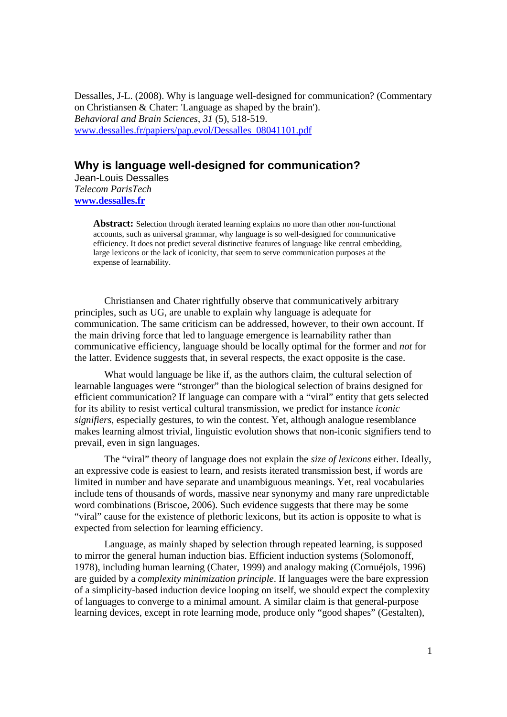Dessalles, J-L. (2008). Why is language well-designed for communication? (Commentary on Christiansen & Chater: 'Language as shaped by the brain'). *Behavioral and Brain Sciences*, *31* (5), 518-519. www.dessalles.fr/papiers/pap.evol/Dessalles\_08041101.pdf

## **Why is language well-designed for communication?**

Jean-Louis Dessalles *Telecom ParisTech* **www.dessalles.fr** 

> **Abstract:** Selection through iterated learning explains no more than other non-functional accounts, such as universal grammar, why language is so well-designed for communicative efficiency. It does not predict several distinctive features of language like central embedding, large lexicons or the lack of iconicity, that seem to serve communication purposes at the expense of learnability.

Christiansen and Chater rightfully observe that communicatively arbitrary principles, such as UG, are unable to explain why language is adequate for communication. The same criticism can be addressed, however, to their own account. If the main driving force that led to language emergence is learnability rather than communicative efficiency, language should be locally optimal for the former and *not* for the latter. Evidence suggests that, in several respects, the exact opposite is the case.

What would language be like if, as the authors claim, the cultural selection of learnable languages were "stronger" than the biological selection of brains designed for efficient communication? If language can compare with a "viral" entity that gets selected for its ability to resist vertical cultural transmission, we predict for instance *iconic signifiers*, especially gestures, to win the contest. Yet, although analogue resemblance makes learning almost trivial, linguistic evolution shows that non-iconic signifiers tend to prevail, even in sign languages.

The "viral" theory of language does not explain the *size of lexicons* either. Ideally, an expressive code is easiest to learn, and resists iterated transmission best, if words are limited in number and have separate and unambiguous meanings. Yet, real vocabularies include tens of thousands of words, massive near synonymy and many rare unpredictable word combinations (Briscoe, 2006). Such evidence suggests that there may be some "viral" cause for the existence of plethoric lexicons, but its action is opposite to what is expected from selection for learning efficiency.

Language, as mainly shaped by selection through repeated learning, is supposed to mirror the general human induction bias. Efficient induction systems (Solomonoff, 1978), including human learning (Chater, 1999) and analogy making (Cornuéjols, 1996) are guided by a *complexity minimization principle*. If languages were the bare expression of a simplicity-based induction device looping on itself, we should expect the complexity of languages to converge to a minimal amount. A similar claim is that general-purpose learning devices, except in rote learning mode, produce only "good shapes" (Gestalten),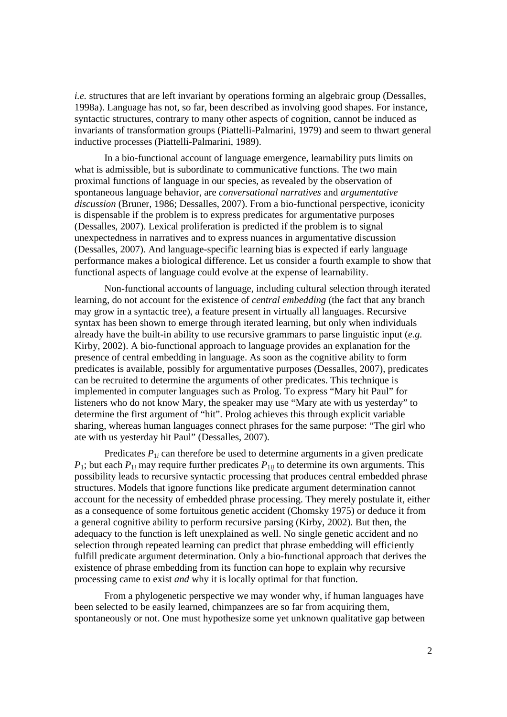*i.e.* structures that are left invariant by operations forming an algebraic group (Dessalles, 1998a). Language has not, so far, been described as involving good shapes. For instance, syntactic structures, contrary to many other aspects of cognition, cannot be induced as invariants of transformation groups (Piattelli-Palmarini, 1979) and seem to thwart general inductive processes (Piattelli-Palmarini, 1989).

In a bio-functional account of language emergence, learnability puts limits on what is admissible, but is subordinate to communicative functions. The two main proximal functions of language in our species, as revealed by the observation of spontaneous language behavior, are *conversational narratives* and *argumentative discussion* (Bruner, 1986; Dessalles, 2007). From a bio-functional perspective, iconicity is dispensable if the problem is to express predicates for argumentative purposes (Dessalles, 2007). Lexical proliferation is predicted if the problem is to signal unexpectedness in narratives and to express nuances in argumentative discussion (Dessalles, 2007). And language-specific learning bias is expected if early language performance makes a biological difference. Let us consider a fourth example to show that functional aspects of language could evolve at the expense of learnability.

Non-functional accounts of language, including cultural selection through iterated learning, do not account for the existence of *central embedding* (the fact that any branch may grow in a syntactic tree), a feature present in virtually all languages. Recursive syntax has been shown to emerge through iterated learning, but only when individuals already have the built-in ability to use recursive grammars to parse linguistic input (*e.g.*  Kirby, 2002). A bio-functional approach to language provides an explanation for the presence of central embedding in language. As soon as the cognitive ability to form predicates is available, possibly for argumentative purposes (Dessalles, 2007), predicates can be recruited to determine the arguments of other predicates. This technique is implemented in computer languages such as Prolog. To express "Mary hit Paul" for listeners who do not know Mary, the speaker may use "Mary ate with us yesterday" to determine the first argument of "hit". Prolog achieves this through explicit variable sharing, whereas human languages connect phrases for the same purpose: "The girl who ate with us yesterday hit Paul" (Dessalles, 2007).

Predicates  $P_{1i}$  can therefore be used to determine arguments in a given predicate  $P_1$ ; but each  $P_1$ *i* may require further predicates  $P_{1ii}$  to determine its own arguments. This possibility leads to recursive syntactic processing that produces central embedded phrase structures. Models that ignore functions like predicate argument determination cannot account for the necessity of embedded phrase processing. They merely postulate it, either as a consequence of some fortuitous genetic accident (Chomsky 1975) or deduce it from a general cognitive ability to perform recursive parsing (Kirby, 2002). But then, the adequacy to the function is left unexplained as well. No single genetic accident and no selection through repeated learning can predict that phrase embedding will efficiently fulfill predicate argument determination. Only a bio-functional approach that derives the existence of phrase embedding from its function can hope to explain why recursive processing came to exist *and* why it is locally optimal for that function.

From a phylogenetic perspective we may wonder why, if human languages have been selected to be easily learned, chimpanzees are so far from acquiring them, spontaneously or not. One must hypothesize some yet unknown qualitative gap between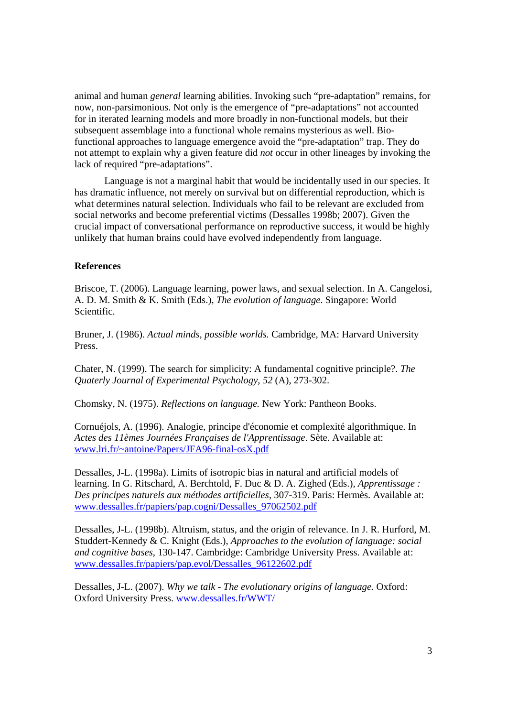animal and human *general* learning abilities. Invoking such "pre-adaptation" remains, for now, non-parsimonious. Not only is the emergence of "pre-adaptations" not accounted for in iterated learning models and more broadly in non-functional models, but their subsequent assemblage into a functional whole remains mysterious as well. Biofunctional approaches to language emergence avoid the "pre-adaptation" trap. They do not attempt to explain why a given feature did *not* occur in other lineages by invoking the lack of required "pre-adaptations".

Language is not a marginal habit that would be incidentally used in our species. It has dramatic influence, not merely on survival but on differential reproduction, which is what determines natural selection. Individuals who fail to be relevant are excluded from social networks and become preferential victims (Dessalles 1998b; 2007). Given the crucial impact of conversational performance on reproductive success, it would be highly unlikely that human brains could have evolved independently from language.

## **References**

Briscoe, T. (2006). Language learning, power laws, and sexual selection. In A. Cangelosi, A. D. M. Smith & K. Smith (Eds.), *The evolution of language*. Singapore: World Scientific.

Bruner, J. (1986). *Actual minds, possible worlds.* Cambridge, MA: Harvard University Press.

Chater, N. (1999). The search for simplicity: A fundamental cognitive principle?. *The Quaterly Journal of Experimental Psychology*, *52* (A), 273-302.

Chomsky, N. (1975). *Reflections on language.* New York: Pantheon Books.

Cornuéjols, A. (1996). Analogie, principe d'économie et complexité algorithmique. In *Actes des 11èmes Journées Françaises de l'Apprentissage*. Sète. Available at: www.lri.fr/~antoine/Papers/JFA96-final-osX.pdf

Dessalles, J-L. (1998a). Limits of isotropic bias in natural and artificial models of learning. In G. Ritschard, A. Berchtold, F. Duc & D. A. Zighed (Eds.), *Apprentissage : Des principes naturels aux méthodes artificielles*, 307-319. Paris: Hermès. Available at: www.dessalles.fr/papiers/pap.cogni/Dessalles\_97062502.pdf

Dessalles, J-L. (1998b). Altruism, status, and the origin of relevance. In J. R. Hurford, M. Studdert-Kennedy & C. Knight (Eds.), *Approaches to the evolution of language: social and cognitive bases*, 130-147. Cambridge: Cambridge University Press. Available at: www.dessalles.fr/papiers/pap.evol/Dessalles\_96122602.pdf

Dessalles, J-L. (2007). *Why we talk - The evolutionary origins of language.* Oxford: Oxford University Press. www.dessalles.fr/WWT/